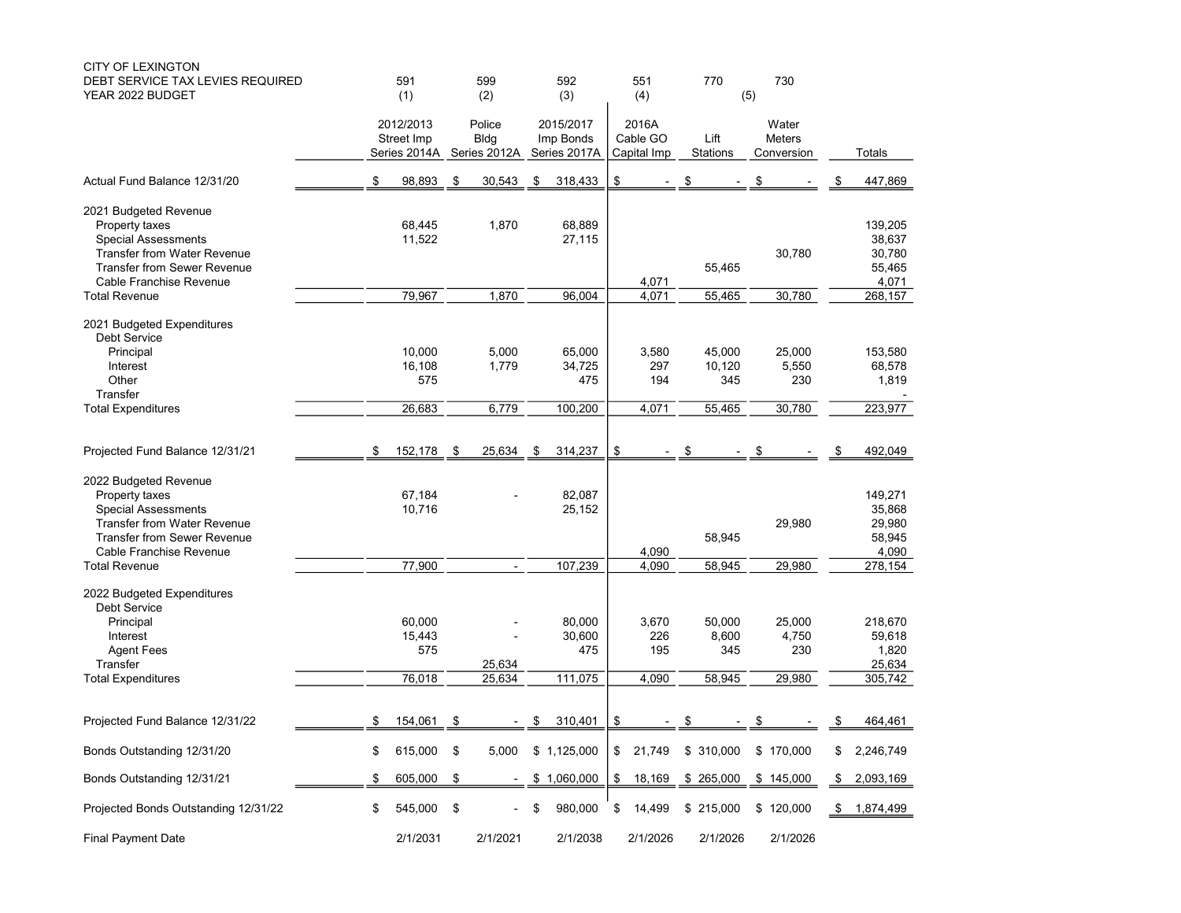| <b>CITY OF LEXINGTON</b><br>DEBT SERVICE TAX LEVIES REQUIRED | 591                                     |     | 599                      | 592                       | 551                     | 770                     | 730                         |    |              |
|--------------------------------------------------------------|-----------------------------------------|-----|--------------------------|---------------------------|-------------------------|-------------------------|-----------------------------|----|--------------|
| YEAR 2022 BUDGET                                             | (1)                                     |     | (2)                      | (3)                       | (4)                     |                         | (5)                         |    |              |
|                                                              | 2012/2013                               |     | Police                   | 2015/2017                 | 2016A                   |                         | Water                       |    |              |
|                                                              | Street Imp<br>Series 2014A Series 2012A |     | <b>Bldg</b>              | Imp Bonds<br>Series 2017A | Cable GO<br>Capital Imp | Lift<br><b>Stations</b> | <b>Meters</b><br>Conversion |    | Totals       |
| Actual Fund Balance 12/31/20                                 | 98,893                                  | \$  | 30,543                   | \$<br>318,433             | \$                      | \$                      | \$                          |    | 447,869      |
| 2021 Budgeted Revenue                                        |                                         |     |                          |                           |                         |                         |                             |    |              |
| Property taxes                                               | 68,445                                  |     | 1,870                    | 68,889                    |                         |                         |                             |    | 139,205      |
| <b>Special Assessments</b>                                   | 11,522                                  |     |                          | 27,115                    |                         |                         |                             |    | 38,637       |
| <b>Transfer from Water Revenue</b>                           |                                         |     |                          |                           |                         |                         | 30,780                      |    | 30,780       |
| <b>Transfer from Sewer Revenue</b>                           |                                         |     |                          |                           |                         | 55,465                  |                             |    | 55,465       |
| Cable Franchise Revenue                                      |                                         |     |                          |                           | 4,071                   |                         |                             |    | 4,071        |
| <b>Total Revenue</b>                                         | 79,967                                  |     | 1,870                    | 96,004                    | 4,071                   | 55,465                  | 30,780                      |    | 268,157      |
| 2021 Budgeted Expenditures<br><b>Debt Service</b>            |                                         |     |                          |                           |                         |                         |                             |    |              |
| Principal                                                    | 10,000                                  |     | 5,000                    | 65,000                    | 3,580                   | 45,000                  | 25,000                      |    | 153,580      |
| Interest                                                     | 16,108                                  |     | 1,779                    | 34,725                    | 297                     | 10,120                  | 5,550                       |    | 68,578       |
| Other                                                        | 575                                     |     |                          | 475                       | 194                     | 345                     | 230                         |    | 1,819        |
| Transfer                                                     |                                         |     |                          |                           |                         |                         |                             |    |              |
| <b>Total Expenditures</b>                                    | 26,683                                  |     | 6,779                    | 100,200                   | 4,071                   | 55,465                  | 30,780                      |    | 223,977      |
|                                                              |                                         |     |                          |                           |                         |                         |                             |    |              |
| Projected Fund Balance 12/31/21                              | \$<br>152,178                           | \$  | 25,634                   | \$<br>314,237             | \$                      | \$                      | \$                          | S  | 492,049      |
| 2022 Budgeted Revenue                                        |                                         |     |                          |                           |                         |                         |                             |    |              |
| Property taxes                                               | 67,184                                  |     |                          | 82,087                    |                         |                         |                             |    | 149.271      |
| <b>Special Assessments</b>                                   | 10,716                                  |     |                          | 25,152                    |                         |                         |                             |    | 35,868       |
| <b>Transfer from Water Revenue</b>                           |                                         |     |                          |                           |                         |                         | 29,980                      |    | 29,980       |
| <b>Transfer from Sewer Revenue</b>                           |                                         |     |                          |                           |                         | 58,945                  |                             |    | 58,945       |
| Cable Franchise Revenue                                      |                                         |     |                          |                           | 4,090                   |                         |                             |    | 4,090        |
| <b>Total Revenue</b>                                         | 77,900                                  |     | $\blacksquare$           | 107,239                   | 4,090                   | 58,945                  | 29,980                      |    | 278,154      |
| 2022 Budgeted Expenditures<br>Debt Service                   |                                         |     |                          |                           |                         |                         |                             |    |              |
| Principal                                                    | 60,000                                  |     |                          | 80,000                    | 3,670                   | 50,000                  | 25,000                      |    | 218,670      |
| Interest                                                     | 15,443                                  |     |                          | 30,600                    | 226                     | 8,600                   | 4,750                       |    | 59,618       |
| <b>Agent Fees</b>                                            | 575                                     |     |                          | 475                       | 195                     | 345                     | 230                         |    | 1,820        |
| Transfer                                                     |                                         |     | 25,634                   |                           |                         |                         |                             |    | 25,634       |
| <b>Total Expenditures</b>                                    | 76,018                                  |     | 25,634                   | 111,075                   | 4,090                   | 58,945                  | 29,980                      |    | 305,742      |
|                                                              |                                         |     |                          |                           |                         |                         |                             |    |              |
| Projected Fund Balance 12/31/22                              | \$<br>154,061                           | -\$ |                          | \$<br>310,401             | \$                      | \$                      | \$                          | \$ | 464,461      |
| Bonds Outstanding 12/31/20                                   | \$<br>615,000 \$                        |     | 5,000                    | \$1,125,000               | \$21,749                | \$310,000               | \$170,000                   | S  | 2,246,749    |
| Bonds Outstanding 12/31/21                                   | \$<br>$605,000$ \$                      |     |                          | $-$ \$ 1,060,000          | \$18,169                | \$265,000               | \$145,000                   |    | \$ 2,093,169 |
| Projected Bonds Outstanding 12/31/22                         | \$<br>545,000 \$                        |     | $\overline{\phantom{0}}$ | \$<br>980,000             | \$<br>14,499            | \$215,000               | \$120,000                   |    | \$ 1,874,499 |
| <b>Final Payment Date</b>                                    | 2/1/2031                                |     | 2/1/2021                 | 2/1/2038                  | 2/1/2026                | 2/1/2026                | 2/1/2026                    |    |              |